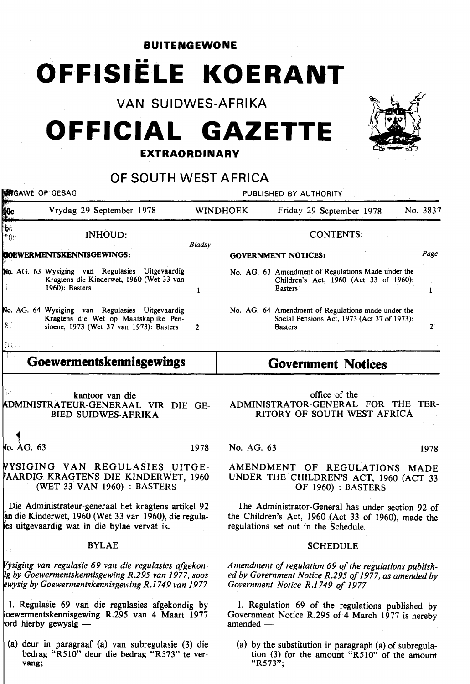**BUITENGEWONE** 

# **OFFISIELE KOERANT**

VAN SUIDWES-AFRIKA

## **OFFICIAL GAZETTE**

#### **EXTRAORDINARY**

### OF SOUTH WEST AFRICA

**FOR SEAG PUBLISHED BY AUTHORITY Acc** Vrydag 29 September 1978 WINDHOEK Friday 29 September 1978 No. 3837 bh. CONTENTS: INHOUD:  $\mathbf{H}^{(1)}$ *Bladsy Page*  BOEWERMENTSKENNISGEWINGS: GOVERNMENT NOTICES: No. AG. 63 Wysiging van Regulasies Uitgevaardig No. AG. 63 Amendment of Regulations Made under the Kragtens die Kinderwet, 1960 (Wet 33 van Children's Act, 1960 (Act 33 of 1960): 1960): Basters Basters  $\mathbf{1}$  $\mathbf{I}$ No. AG. 64 Wysiging van Regulasies Uitgevaardig No. AG. 64 Amendment of Regulations made under the Kragtens die Wet op Maatskaplike Pen-Social Pensions Act, 1973 (Act 37 of 1973):  $\S^\circ$ sioene, 1973 (Wet 37 van 1973): Basters **Basters** 2  $\mathcal{L}$  $\gamma_L$ **Goewermentskennisgewings Government Notices**  kantoor van die office of the ADMINISTRATOR-GENERAL FOR THE TER-:bMINISTRATEUR-GENERAAL VIR DIE GE-BIED SUIDWES-AFRIKA RITORY OF SOUTH WEST AFRICA .. o.  $ACA$ . 63 1978 No. AG. 63 1978 YSIGING VAN REGULASIES UITGE-AMENDMENT OF REGULATIONS MADE AARDIG KRAGTENS DIE KINDERWET, 1960 UNDER THE CHILDREN'S ACT, 1960 (ACT 33 (WET 33 VAN 1960) : BASTERS OF 1960) : BASTERS Die Administrateur-generaal het kragtens artikel 92 The Administrator-General has under section 92 of an die Kinderwet, 1960 (Wet 33 van 1960), die regula the Children's Act, 1960 (Act 33 of 1960), made the 'es uitgevaardig wat in die bylae vervat is. regulations set out in the Schedule. BYLAE **SCHEDULE** *ysiging van regulasie 69 van die regulasies afgekon-*Amendment of regulation 69 of the regulations publish*ed by Government Notice R.295 of 1977, as amended by* 

*ig by Goewermentskennisgewing R.295 van 1977, soos wysig by Goewermentskennisgewing R.1749 van 1977* 

1. Regulasie 69 van die regulasies afgekondig by oewermentskennisgewing R.295 van 4 Maart 1977 ord hierby gewysig  $-$ 

(a) deur in paragraaf (a) van subregulasie (3) die bedrag "R510" deur die bedrag "R573" te vervang;

1. Regulation 69 of the regulations published by Government Notice R.295 of 4 March 1977 is hereby  $amended-$ 

*Government Notice R.1749 of 1977* 

(a) by the substitution in paragraph (a) of subregulation (3) for the amount "R510" of the amount "R573";